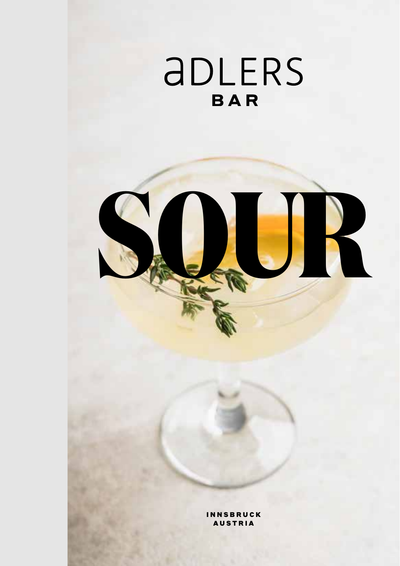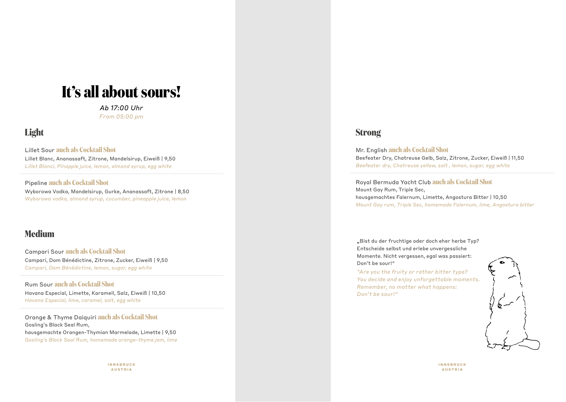# **It's all about sours!**

*Ab 17:00 Uhr From 05:00 pm*

### **Light**

Lillet Sour **auch als Cocktail Shot**

Lillet Blanc, Ananassaft, Zitrone, Mandelsirup, Eiweiß | 9,50 *Lillet Blanci, Pinapple juice, lemon, almond syrup, egg white* 

Pipeline **auch als Cocktail Shot**

Wyborowa Vodka, Mandelsirup, Gurke, Ananassaft, Zitrone | 8,50 *Wyborowa vodka, almond syrup, cucumber, pineapple juice, lemon*

### **Medium**

Campari Sour **auch als Cocktail Shot** Campari, Dom Bénédictine, Zitrone, Zucker, Eiweiß | 9,50 *Campari, Dom Bénédictine, lemon, sugar, egg white* 

Rum Sour **auch als Cocktail Shot** Havana Especial, Limette, Karamell, Salz, Eiweiß | 10,50 *Havana Especial, lime, caramel, salt, egg white*

Orange & Thyme Daiquiri **auch als Cocktail Shot** Gosling's Black Seal Rum, hausgemachte Orangen-Thymian Marmelade, Limette | 9,50 *Gosling's Black Seal Rum, homemade orange-thyme jam, lime* 

> INNSBRUCK AUSTRIA

### **Strong**

Mr. English **auch als Cocktail Shot** Beefeater Dry, Chatreuse Gelb, Salz, Zitrone, Zucker, Eiweiß | 11,50 *Beefeater dry, Chatreuse yellow, salt , lemon, sugar, egg white*

Royal Bermuda Yacht Club **auch als Cocktail Shot** Mount Gay Rum, Triple Sec, hausgemachtes Falernum, Limette, Angostura Bitter | 10,50 *Mount Gay rum, Triple Sec, homemade Falernum, lime, Angostura bitter*

"Bist du der fruchtige oder doch eher herbe Typ? Entscheide selbst und erlebe unvergessliche Momente. Nicht vergessen, egal was passiert: Don't be sour!"

*"Are you the fruity or rather bitter type? You decide and enjoy unforgettable moments. Remember, no matter what happens: Don't be sour!"*

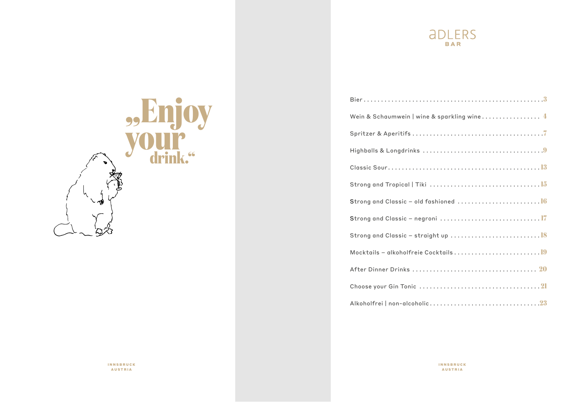

| Wein & Schaumwein   wine & sparkling wine 4                                                           |
|-------------------------------------------------------------------------------------------------------|
|                                                                                                       |
| Highballs & Longdrinks $\ldots \ldots \ldots \ldots \ldots \ldots \ldots \ldots \ldots \ldots \ldots$ |
|                                                                                                       |
|                                                                                                       |
|                                                                                                       |
|                                                                                                       |
|                                                                                                       |
|                                                                                                       |
|                                                                                                       |
|                                                                                                       |
|                                                                                                       |



INNSBRUCK AUSTRIA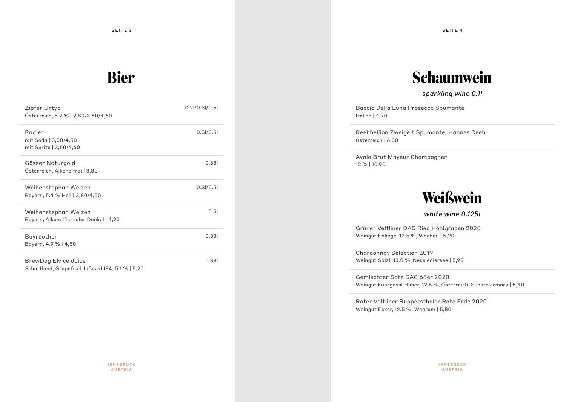# **Bier**

| Zipfer Urtyp<br>Österreich, 5.2 %   2,80/3,60/4,60                       | $0.2$ I/0.3I/0.5I |
|--------------------------------------------------------------------------|-------------------|
| Radler<br>mit Soda   3,50/4,50<br>mit Sprite   3,60/4,60                 | 0.31/0.51         |
| Gösser Naturgold<br>Österreich, Alkoholfrei   3,80                       | 0.331             |
| Weihenstephan Weizen<br>Bayern, 5.4 % Hell   3,80/4,50                   | 0.31/0.51         |
| Weihenstephan Weizen<br>Bayern, Alkoholfrei oder Dunkel   4,90           | 0.51              |
| Bayreuther<br>Bayern, 4.9 %   4,50                                       | 0.331             |
| BrewDog Elvice Juice<br>Schottland, Grapefruit Infused IPA, 5.1 %   5,20 | 0.331             |

# **Schaumwein**

*sparkling wine 0.1l*

Baccio Della Luna Prosecco Spumante Italien | 4,90

Reehbellion Zweigelt Spumante, Hannes Reeh Österreich | 6,30

Ayala Brut Mayeur Champagner 12 % | 10,90

# **Weißwein**

*white wine 0.125l*

Grüner Veltliner DAC Ried Höhlgraben 2020 Weingut Edlinge, 12.5 %, Wachau | 5,20

Chardonnay Selection 2019 Weingut Salzl, 13.0 %, Neusiedlersee | 5,90

Gemischter Satz DAC 68er 2020 Weingut Fuhrgassl Huber, 12.5 %, Österreich, Südsteiermark | 5,40

Roter Veltliner Ruppersthaler Rote Erde 2020 Weingut Ecker, 12.5 %, Wagram | 5,80

INNSBRUCK AUSTRIA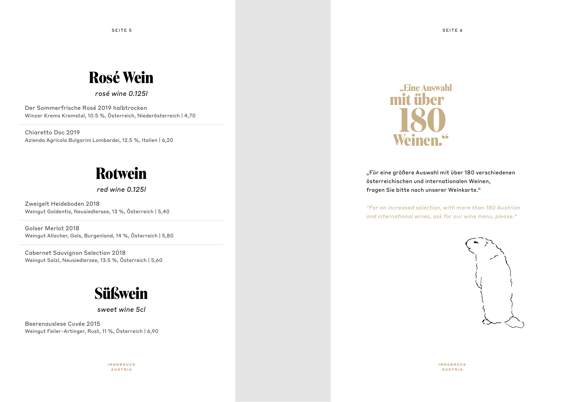#### SEITE 5 SEITE 6

# **Rosé Wein**

*rosé wine 0.125l*

Der Sommerfrische Rosé 2019 halbtrocken Winzer Krems Kremstal, 10.5 %, Österreich, Niederösterreich | 4,70

Chiaretto Doc 2019 Azienda Agricola Bulgarini Lombardei, 12.5 %, Italien | 6,20

# **Rotwein**

*red wine 0.125l*

Zweigelt Heideboden 2018 Weingut Goldentis, Neusiedlersee, 13 %, Österreich | 5,40

Golser Merlot 2018 Weingut Allacher, Gols, Burgenland, 14 %, Österreich | 5,80

Cabernet Sauvignon Selection 2018 Weingut Salzl, Neusiedlersee, 13.5 %, Österreich | 5,60

# **Süßwein**

*sweet wine 5cl*

Beerenauslese Cuvée 2015 Weingut Feiler-Artinger, Rust, 11 %, Österreich | 6,90

> INNSBRUCK AUSTRIA

![](_page_4_Picture_14.jpeg)

"Für eine größere Auswahl mit über 180 verschiedenen österreichischen und internationalen Weinen, fragen Sie bitte nach unserer Weinkarte."

*"For an increased selection, with more than 180 Austrian and international wines, ask for our wine menu, please."*

![](_page_4_Picture_17.jpeg)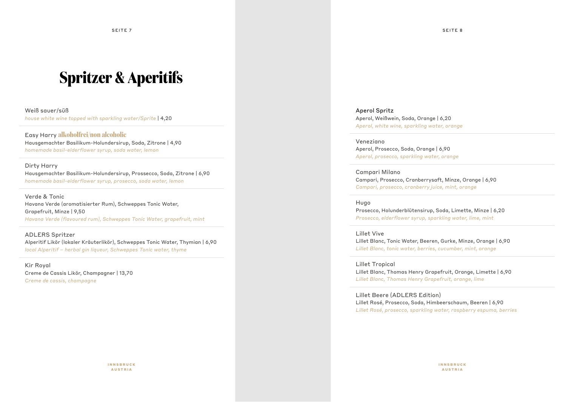SEITE 7 SEITE 8

# **Spritzer & Aperitifs**

#### Weiß sauer/süß

*house white wine topped with sparkling water/Sprite* | 4,20

#### Easy Harry **alkoholfrei/non alcoholic** Hausgemachter Basilikum-Holundersirup, Soda, Zitrone | 4,90 *homemade basil-elderflower syrup, soda water, lemon*

#### Dirty Harry

Hausgemachter Basilikum-Holundersirup, Prossecco, Soda, Zitrone | 6,90 *homemade basil-elderflower syrup, prosecco, soda water, lemon*

Verde & Tonic Havana Verde (aromatisierter Rum), Schweppes Tonic Water, Grapefruit, Minze | 9,50 *Havana Verde (flavoured rum), Schweppes Tonic Water, grapefruit, mint*

#### ADLERS Spritzer

Alperitif Likör (lokaler Kräuterlikör), Schweppes Tonic Water, Thymian | 6,90 *local Alperitif – herbal gin liqueur, Schweppes Tonic water, thyme*

Kir Royal Creme de Cassis Likör, Champagner | 13,70 *Creme de cassis, champagne*

Aperol Spritz Aperol, Weißwein, Soda, Orange | 6,20 *Aperol, white wine, sparkling water, orange*

#### Veneziano

Aperol, Prosecco, Soda, Orange | 6,90 *Aperol, prosecco, sparkling water, orange*

### Campari Milano

Campari, Prosecco, Cranberrysaft, Minze, Orange | 6,90 *Campari, prosecco, cranberry juice, mint, orange*

#### Hugo

Prosecco, Holunderblütensirup, Soda, Limette, Minze | 6,20 *Prosecco, elderflower syrup, sparkling water, lime, mint*

#### Lillet Vive

Lillet Blanc, Tonic Water, Beeren, Gurke, Minze, Orange | 6,90 *Lillet Blanc, tonic water, berries, cucumber, mint, orange*

#### Lillet Tropical

Lillet Blanc, Thomas Henry Grapefruit, Orange, Limette | 6,90 *Lillet Blanc, Thomas Henry Grapefruit, orange, lime*

Lillet Beere (ADLERS Edition) Lillet Rosé, Prosecco, Soda, Himbeerschaum, Beeren | 6,90 *Lillet Rosé, prosecco, sparkling water, raspberry espuma, berries*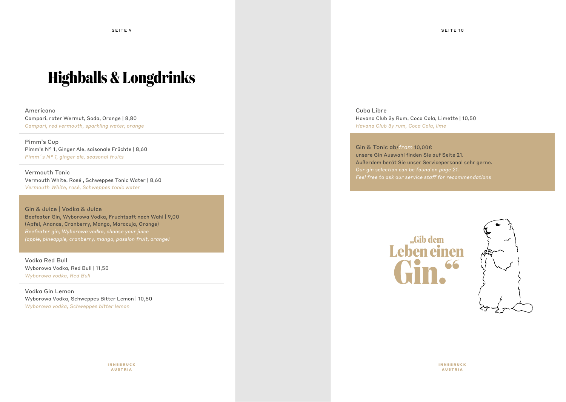# **Highballs & Longdrinks**

Americano Campari, roter Wermut, Soda, Orange | 8,80 *Campari, red vermouth, sparkling water, orange*

Pimm's Cup Pimm's N° 1, Ginger Ale, saisonale Früchte | 8,60 *Pimm´s N° 1, ginger ale, seasonal fruits*

Vermouth Tonic Vermouth White, Rosé , Schweppes Tonic Water | 8,60 *Vermouth White, rosé, Schweppes tonic water*

Gin & Juice | Vodka & Juice Beefeater Gin, Wyborowa Vodka, Fruchtsaft nach Wahl | 9,00 (Apfel, Ananas, Cranberry, Mango, Maracuja, Orange) *(apple, pineapple, cranberry, mango, passion fruit, orange)*

Vodka Red Bull Wyborowa Vodka, Red Bull | 11,50 *Wyborowa vodka, Red Bull*

Vodka Gin Lemon Wyborowa Vodka, Schweppes Bitter Lemon | 10,50 *Wyborowa vodka, Schweppes bitter lemon*

> INNSBRUCK AUSTRIA

Cuba Libre Havana Club 3y Rum, Coca Cola, Limette | 10,50 *Havana Club 3y rum, Coca Cola, lime*

Gin & Tonic ab/*from* 10,00€ unsere Gin Auswahl finden Sie auf Seite 21. Außerdem berät Sie unser Servicepersonal sehr gerne. *Our gin selection can be found on page 21. Feel free to ask our service staff for recommendations*

![](_page_6_Picture_11.jpeg)

![](_page_6_Picture_12.jpeg)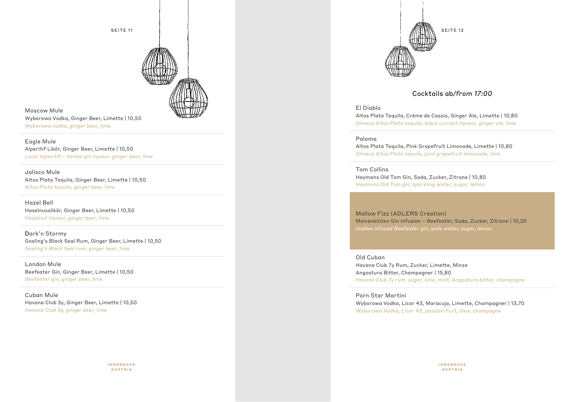![](_page_7_Picture_0.jpeg)

![](_page_7_Picture_1.jpeg)

Moscow Mule Wyborowa Vodka, Ginger Beer, Limette | 10,50 *Wyborowa vodka, ginger beer, lime*

Eagle Mule Alperitif Likör, Ginger Beer, Limette | 10,50 *Local Alperitif – herbal gin liqueur, ginger beer, lime*

Jalisco Mule Altos Plata Tequila, Ginger Beer, Limette | 10,50 *Altos Plata tequila, ginger beer, lime*

Hazel Bell Haselnusslikör, Ginger Beer, Limette | 10,50 *Hazelnut liqueur, ginger beer, lime*

Dark'n Stormy Gosling's Black Seal Rum, Ginger Beer, Limette | 10,50 *Gosling's Black Seal rum, ginger beer, lime*

London Mule Beefeater Gin, Ginger Beer, Limette | 10,50 *Beefeater gin, ginger beer, lime*

Cuban Mule Havana Club 3y, Ginger Beer, Limette | 10,50 *Havana Club 3y, ginger beer, lime*

![](_page_7_Picture_9.jpeg)

![](_page_7_Picture_10.jpeg)

### Cocktails ab*/from 17:00*

#### El Diablo

Altos Plata Tequila, Créme de Cassis, Ginger Ale, Limette | 10,80 *Olmeca Altos Plata tequila, black currant liqueur, ginger ale, lime*

#### Paloma

Altos Plata Tequila, Pink Grapefruit Limonade, Limette | 10,80 *Olmeca Altos Plata tequila, pink grapefruit lemonade, lime*

#### Tom Collins

Haymans Old Tom Gin, Soda, Zucker, Zitrone | 10,80 *Haymans Old Tom gin, sparkling water, sugar, lemon*

Mallow Fizz (ADLERS Creation) Malvenblüten Gin Infusion – Beefeater, Soda, Zucker, Zitrone | 10,20 *mallow infused Beefeater gin, soda water, sugar, lemon*

Old Cuban Havana Club 7y Rum, Zucker, Limette, Minze Angostura Bitter, Champagner | 15,80 *Havana Club 7y rum, sugar, lime, mint, Angostura bitter, champagne*

#### Porn Star Martini Wyborowa Vodka, Licor 43, Maracuja, Limette, Champagner | 13,70 *Wyborowa Vodka, Licor 43, passion fruit, lime, champagne*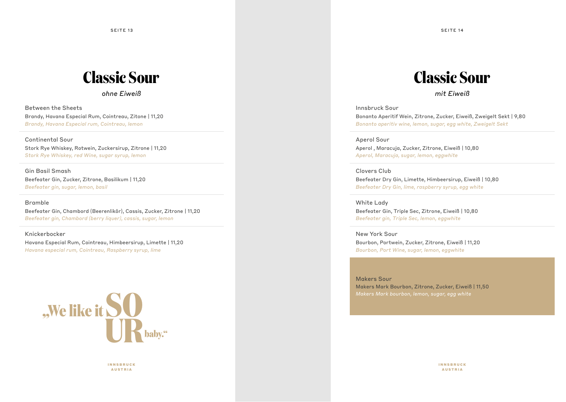# **Classic Sour**

*ohne Eiweiß*

Between the Sheets Brandy, Havana Especial Rum, Cointreau, Zitone | 11,20 *Brandy, Havana Especial rum, Cointreau, lemon* 

Continental Sour Stork Rye Whiskey, Rotwein, Zuckersirup, Zitrone | 11,20 *Stork Rye Whiskey, red Wine, sugar syrup, lemon* 

Gin Basil Smash Beefeater Gin, Zucker, Zitrone, Basilikum | 11,20 *Beefeater gin, sugar, lemon, basil*

#### Bramble

Beefeater Gin, Chambord (Beerenlikör), Cassis, Zucker, Zitrone | 11,20 *Beefeater gin, Chambord (berry liquer), cassis, sugar, lemon*

Knickerbocker

Havana Especial Rum, Cointreau, Himbeersirup, Limette | 11,20 *Havana especial rum, Cointreau, Raspberry syrup, lime*

![](_page_8_Picture_10.jpeg)

INNSBRUCK AUSTRIA

# **Classic Sour**

*mit Eiweiß*

Innsbruck Sour Bonanto Aperitif Wein, Zitrone, Zucker, Eiweiß, Zweigelt Sekt | 9,80 *Bonanto aperitiv wine, lemon, sugar, egg white, Zweigelt Sekt*

Aperol Sour Aperol , Maracuja, Zucker, Zitrone, Eiweiß | 10,80 *Aperol, Maracuja, sugar, lemon, eggwhite* 

Clovers Club Beefeater Dry Gin, Limette, Himbeersirup, Eiweiß | 10,80

*Beefeater Dry Gin, lime, raspberry syrup, egg white*

White Lady Beefeater Gin, Triple Sec, Zitrone, Eiweiß | 10,80 *Beefeater gin, Triple Sec, lemon, eggwhite*

New York Sour Bourbon, Portwein, Zucker, Zitrone, Eiweiß | 11,20 *Bourbon, Port Wine, sugar, lemon, eggwhite*

Makers Sour Makers Mark Bourbon, Zitrone, Zucker, Eiweiß | 11,50

SEITE 13 SEITE 14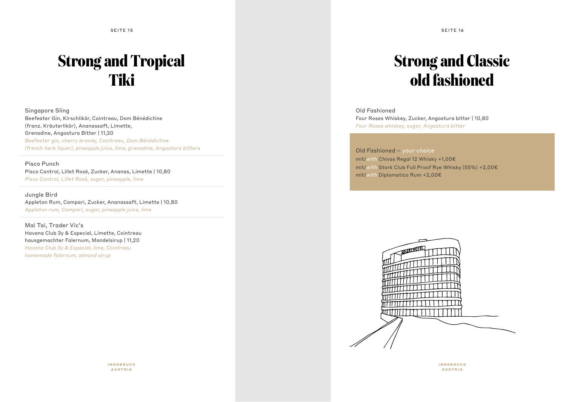SEITE 15 SEITE 16

# **Strong and Tropical Tiki**

Singapore Sling Beefeater Gin, Kirschlikör, Cointreau, Dom Bénédictine (franz. Kräuterlikör), Ananassaft, Limette, Grenadine, Angostura Bitter | 11,20 *Beefeater gin, cherry brandy, Cointreau, Dom Bénédictine (french herb liquer), pineapple juice, lime, grenadine, Angostura bitters*

#### Pisco Punch

Pisco Control, Lillet Rosé, Zucker, Ananas, Limette | 10,80 *Pisco Control, Lillet Rosé, sugar, pineapple, lime*

Jungle Bird Appleton Rum, Campari, Zucker, Ananassaft, Limette | 10,80 *Appleton rum, Campari, sugar, pineapple juice, lime*

Mai Tai, Trader Vic's Havana Club 3y & Especial, Limette, Cointreau hausgemachter Falernum, Mandelsirup | 11,20 *Havana Club 3y & Especial, lime, Cointreau homemade falernum, almond sirup*

# **Strong and Classic old fashioned**

Old Fashioned Four Roses Whiskey, Zucker, Angostura bitter | 10,80 *Four Roses whiskey, sugar, Angostura bitter*

Old Fashioned – *your choice* mit/*with* Chivas Regal 12 Whisky +1,00€ mit/*with* Stork Club Full Proof Rye Whisky (55%) +2,00€ mit/*with* Diplomatico Rum +2,00€

![](_page_9_Picture_10.jpeg)

![](_page_9_Picture_11.jpeg)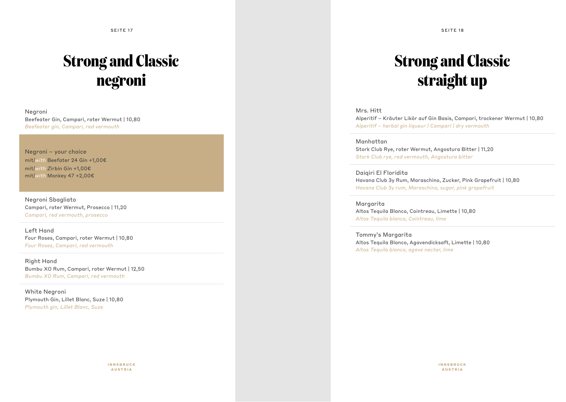SEITE 17 SEITE 18

# **Strong and Classic negroni**

Negroni Beefeater Gin, Campari, roter Wermut | 10,80 *Beefeater gin, Campari, red vermouth*

Negroni – your choice mit*|with* Beefater 24 Gin +1,00€ mit*|with Z*irbin Gin +1,00€ mit*|with* Monkey 47 +2,00€

Negroni Sbagliato Campari, roter Wermut, Prosecco | 11,20 *Campari, red vermouth, prosecco*

Left Hand Four Roses, Campari, roter Wermut | 10,80 *Four Roses, Campari, red vermouth*

Right Hand Bumbu XO Rum, Campari, roter Wermut | 12,50 *Bumbu XO Rum, Campari, red vermouth*

White Negroni Plymouth Gin, Lillet Blanc, Suze | 10,80 *Plymouth gin, Lillet Blanc, Suze*

# **Strong and Classic straight up**

#### Mrs. Hitt

Alperitif – Kräuter Likör auf Gin Basis, Campari, trockener Wermut | 10,80 *Alperitif – herbal gin liqueur | Campari | dry vermouth*

#### Manhattan

Stork Club Rye, roter Wermut, Angostura Bitter | 11,20 *Stork Club rye, red vermouth, Angostura bitter*

#### Daiqiri El Floridita

Havana Club 3y Rum, Maraschino, Zucker, Pink Grapefruit | 10,80 *Havana Club 3y rum, Maraschino, sugar, pink grapefruit*

Margarita Altos Tequila Blanco, Cointreau, Limette | 10,80 *Altos Tequila blanco, Cointreau, lime*

Tommy's Margarita Altos Tequila Blanco, Agavendicksaft, Limette | 10,80 *Altos Tequila blanco, agave nectar, lime* 

INNSBRUCK AUSTRIA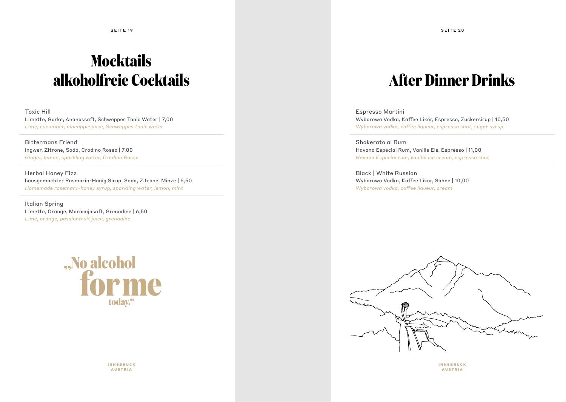SEITE 19 SEITE 20

# **Mocktails alkoholfreie Cocktails**

Toxic Hill Limette, Gurke, Ananassaft, Schweppes Tonic Water | 7,00 *Lime, cucumber, pineapple juice, Schweppes tonic water*

Bittermans Friend Ingwer, Zitrone, Soda, Crodino Rosso | 7,00 *Ginger, lemon, sparkling water, Crodino Rosso*

Herbal Honey Fizz hausgemachter Rosmarin-Honig Sirup, Soda, Zitrone, Minze | 6,50 *Homemade rosemary-honey syrup, sparkling water, lemon, mint*

Italian Spring Limette, Orange, Maracujasaft, Grenadine | 6,50 *Lime, orange, passionfruit juice, grenadine*

![](_page_11_Picture_6.jpeg)

INNSBRUCK AUSTRIA

# **After Dinner Drinks**

Espresso Martini Wyborowa Vodka, Kaffee Likör, Espresso, Zuckersirup | 10,50 *Wyborowa vodka, coffee liqueur, espresso shot, sugar syrup*

Shakerato al Rum Havana Especial Rum, Vanille Eis, Espresso | 11,00 *Havana Especial rum, vanilla ice cream, espresso shot*

Black | White Russian Wyborowa Vodka, Kaffee Likör, Sahne | 10,00 *Wyborowa vodka, coffee liqueur, cream*

![](_page_11_Picture_12.jpeg)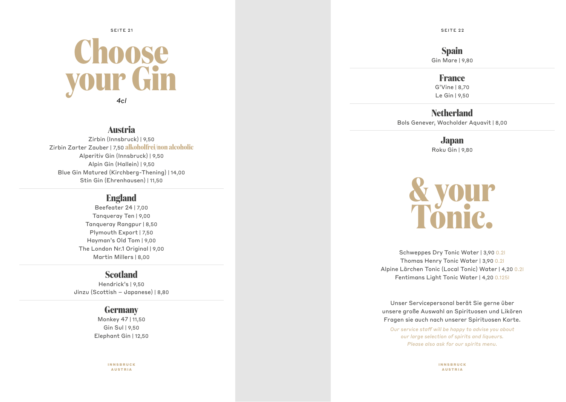# **Choose your Gin** *4cl* SEITE 21 SEITE 22 SEITE 22 SEITE 22 SEITE 22 SEITE 22 SEITE 22 SEITE 22 SEITE 22 SEITE 22

### **Austria**

Zirbin (Innsbruck) | 9,50 Zirbin Zarter Zauber | 7,50 **alkoholfrei/non alcoholic** Alperitiv Gin (Innsbruck) | 9,50 Alpin Gin (Hallein) | 9,50 Blue Gin Matured (Kirchberg-Thening) | 14,00 Stin Gin (Ehrenhausen) | 11,50

### **England**

Beefeater 24 | 7,00 Tanqueray Ten | 9,00 Tanqueray Rangpur | 8,50 Plymouth Export | 7,50 Hayman's Old Tom | 9,00 The London Nr.1 Original | 9,00 Martin Millers | 8,00

### **Scotland**

Hendrick's | 9,50 Jinzu (Scottish – Japanese) | 8,80

### **Germany**

Monkey 47 | 11,50 Gin Sul | 9,50 Elephant Gin | 12,50

> INNSBRUCK AUSTRIA

**Spain** Gin Mare | 9,80

### **France**

G'Vine | 8,70 Le Gin | 9,50

### **Netherland**

Bols Genever, Wacholder Aquavit | 8,00

**Japan** Roku Gin | 9,80

![](_page_12_Picture_17.jpeg)

Schweppes Dry Tonic Water | 3,90 0.2l Thomas Henry Tonic Water | 3,90 0.2l Alpine Lärchen Tonic (Local Tonic) Water | 4,20 0.2l Fentimans Light Tonic Water | 4,20 0.125l

Unser Servicepersonal berät Sie gerne über unsere große Auswahl an Spirituosen und Likören Fragen sie auch nach unserer Spirituosen Karte.

*Our service staff will be happy to advise you about our large selection of spirits and liqueurs. Please also ask for our spirits menu.*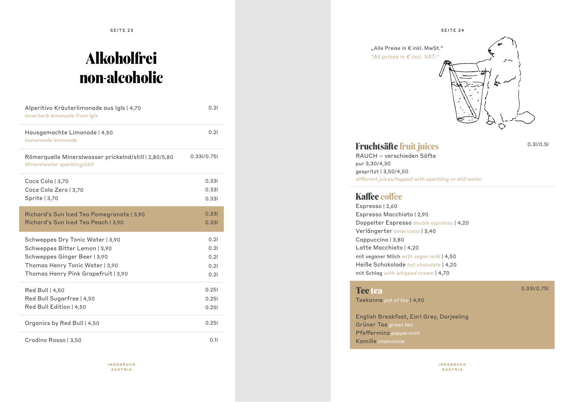SEITE 23 SEITE 24

# **Alkoholfrei non-alcoholic**

| Alperitivo Kräuterlimonade aus Igls   4,70<br>local herb lemonade from Igls                                                                                                 | 0.21                                 |
|-----------------------------------------------------------------------------------------------------------------------------------------------------------------------------|--------------------------------------|
| Hausgemachte Limonade   4,50<br>homemade lemonade                                                                                                                           | 0.21                                 |
| Römerquelle Mineralwasser prickelnd/still   2,80/5,80<br>Mineralwater sparkling/still                                                                                       | 0.33I/0.75I                          |
| Coca Cola   3,70<br>Coca Cola Zero   3,70<br>Sprite $ 3,70$                                                                                                                 | 0.331<br>0.331<br>0.331              |
| Richard's Sun Iced Tea Pomegranate   3,90<br>Richard's Sun Iced Tea Peach   3,90                                                                                            | 0.331<br>0.331                       |
| Schweppes Dry Tonic Water   3,90<br>Schweppes Bitter Lemon   3,90<br>Schweppes Ginger Beer   3,90<br>Thomas Henry Tonic Water   3,90<br>Thomas Henry Pink Grapefruit   3,90 | 0.21<br>0.21<br>0.21<br>0.21<br>0.21 |
| Red Bull   4,50<br>Red Bull Sugarfree   4,50<br>Red Bull Edition   4,50                                                                                                     | 0.251<br>0.251<br>0.251              |
| Organics by Red Bull   4,50                                                                                                                                                 | 0.251                                |
| Crodino Rosso   3,50                                                                                                                                                        | 0.11                                 |

INNSBRUCK AUSTRIA

"Alle Preise in € inkl. MwSt." *"All prices in € incl. VAT."*  $\breve{\bigcirc}$ 

### **Fruchtsäfte fruit juices**

0.3l/0.5l

RAUCH – verschieden Säfte pur 3,30/4,30 gespritzt | 3,50/4,50 *different juices/topped with sparkling or still water*

### **Kaffee coffee**

Espresso | 2,60 Espresso Macchiato | 2,90 Doppelter Espresso *double espresso* | 4,20 Verlängerter *americano* | 3,40 Cappuccino | 3,80 Latte Macchiato | 4,20 mit veganer Milch *with vegan milk* | 4,50 Heiße Schokolade *hot chocolate* | 4,20 mit Schlag *with whipped cream* | 4,70

### **Tee tea** Teekanne *pot of tea* | 4,90

0.33l/0.75l

English Breakfast, Earl Grey, Darjeeling Grüner Tee *green tea* Pfefferminz *peppermint* Kamille *chamomile*